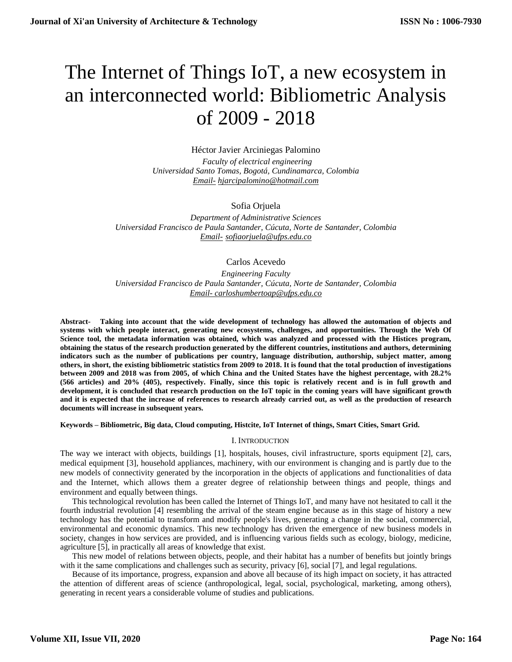# The Internet of Things IoT, a new ecosystem in an interconnected world: Bibliometric Analysis of 2009 - 2018

Héctor Javier Arciniegas Palomino  *Faculty of electrical engineering Universidad Santo Tomas, Bogotá, Cundinamarca, Colombia Email- hjarcipalomino@hotmail.com*

### Sofia Orjuela

*Department of Administrative Sciences Universidad Francisco de Paula Santander, Cúcuta, Norte de Santander, Colombia Email- sofiaorjuela@ufps.edu.co*

Carlos Acevedo

*Engineering Faculty Universidad Francisco de Paula Santander, Cúcuta, Norte de Santander, Colombia Email- [carloshumbertoap@ufps.edu.co](mailto:carloshumbertoap@ufps.edu.co)*

**Abstract- Taking into account that the wide development of technology has allowed the automation of objects and systems with which people interact, generating new ecosystems, challenges, and opportunities. Through the Web Of Science tool, the metadata information was obtained, which was analyzed and processed with the Histices program, obtaining the status of the research production generated by the different countries, institutions and authors, determining indicators such as the number of publications per country, language distribution, authorship, subject matter, among others, in short, the existing bibliometric statistics from 2009 to 2018. It is found that the total production of investigations between 2009 and 2018 was from 2005, of which China and the United States have the highest percentage, with 28.2% (566 articles) and 20% (405), respectively. Finally, since this topic is relatively recent and is in full growth and development, it is concluded that research production on the IoT topic in the coming years will have significant growth and it is expected that the increase of references to research already carried out, as well as the production of research documents will increase in subsequent years.** 

**Keywords – Bibliometric, Big data, Cloud computing, Histcite, IoT Internet of things, Smart Cities, Smart Grid.**

#### I. INTRODUCTION

The way we interact with objects, buildings [1], hospitals, houses, civil infrastructure, sports equipment [2], cars, medical equipment [3], household appliances, machinery, with our environment is changing and is partly due to the new models of connectivity generated by the incorporation in the objects of applications and functionalities of data and the Internet, which allows them a greater degree of relationship between things and people, things and environment and equally between things.

This technological revolution has been called the Internet of Things IoT, and many have not hesitated to call it the fourth industrial revolution [4] resembling the arrival of the steam engine because as in this stage of history a new technology has the potential to transform and modify people's lives, generating a change in the social, commercial, environmental and economic dynamics. This new technology has driven the emergence of new business models in society, changes in how services are provided, and is influencing various fields such as ecology, biology, medicine, agriculture [5], in practically all areas of knowledge that exist.

This new model of relations between objects, people, and their habitat has a number of benefits but jointly brings with it the same complications and challenges such as security, privacy [6], social [7], and legal regulations.

Because of its importance, progress, expansion and above all because of its high impact on society, it has attracted the attention of different areas of science (anthropological, legal, social, psychological, marketing, among others), generating in recent years a considerable volume of studies and publications.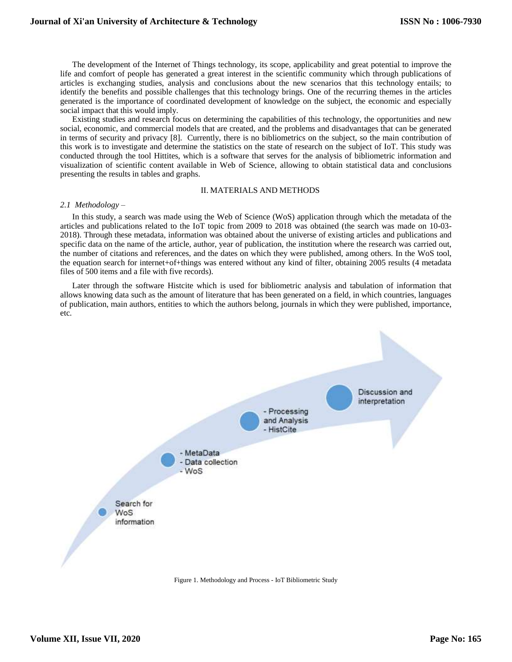The development of the Internet of Things technology, its scope, applicability and great potential to improve the life and comfort of people has generated a great interest in the scientific community which through publications of articles is exchanging studies, analysis and conclusions about the new scenarios that this technology entails; to identify the benefits and possible challenges that this technology brings. One of the recurring themes in the articles generated is the importance of coordinated development of knowledge on the subject, the economic and especially social impact that this would imply.

Existing studies and research focus on determining the capabilities of this technology, the opportunities and new social, economic, and commercial models that are created, and the problems and disadvantages that can be generated in terms of security and privacy [8]. Currently, there is no bibliometrics on the subject, so the main contribution of this work is to investigate and determine the statistics on the state of research on the subject of IoT. This study was conducted through the tool Hittites, which is a software that serves for the analysis of bibliometric information and visualization of scientific content available in Web of Science, allowing to obtain statistical data and conclusions presenting the results in tables and graphs.

#### II. MATERIALS AND METHODS

#### *2.1 Methodology –*

In this study, a search was made using the Web of Science (WoS) application through which the metadata of the articles and publications related to the IoT topic from 2009 to 2018 was obtained (the search was made on 10-03- 2018). Through these metadata, information was obtained about the universe of existing articles and publications and specific data on the name of the article, author, year of publication, the institution where the research was carried out, the number of citations and references, and the dates on which they were published, among others. In the WoS tool, the equation search for internet+of+things was entered without any kind of filter, obtaining 2005 results (4 metadata files of 500 items and a file with five records).

Later through the software Histcite which is used for bibliometric analysis and tabulation of information that allows knowing data such as the amount of literature that has been generated on a field, in which countries, languages of publication, main authors, entities to which the authors belong, journals in which they were published, importance, etc.



<span id="page-1-0"></span>Figure 1. Methodology and Process - IoT Bibliometric Study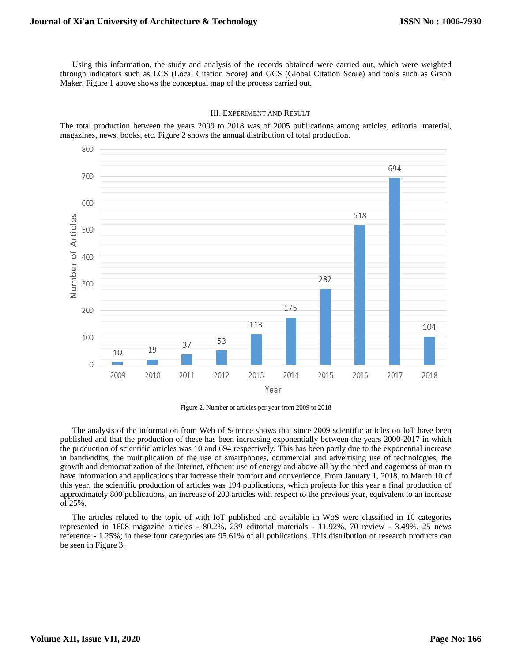Maker. [Figure 1](#page-1-0) above shows the conceptual map of the process carried out.

#### III. EXPERIMENT AND RESULT

The total production between the years 2009 to 2018 was of 2005 publications among articles, editorial material, magazines, news, books, etc. [Figure 2](#page-2-0) shows the annual distribution of total production.



Figure 2. Number of articles per year from 2009 to 2018

<span id="page-2-0"></span>The analysis of the information from Web of Science shows that since 2009 scientific articles on IoT have been published and that the production of these has been increasing exponentially between the years 2000-2017 in which the production of scientific articles was 10 and 694 respectively. This has been partly due to the exponential increase in bandwidths, the multiplication of the use of smartphones, commercial and advertising use of technologies, the growth and democratization of the Internet, efficient use of energy and above all by the need and eagerness of man to have information and applications that increase their comfort and convenience. From January 1, 2018, to March 10 of this year, the scientific production of articles was 194 publications, which projects for this year a final production of approximately 800 publications, an increase of 200 articles with respect to the previous year, equivalent to an increase of 25%.

The articles related to the topic of with IoT published and available in WoS were classified in 10 categories represented in 1608 magazine articles - 80.2%, 239 editorial materials - 11.92%, 70 review - 3.49%, 25 news reference - 1.25%; in these four categories are 95.61% of all publications. This distribution of research products can be seen in [Figure 3.](#page-3-0)

**ISSN No : 1006-7930**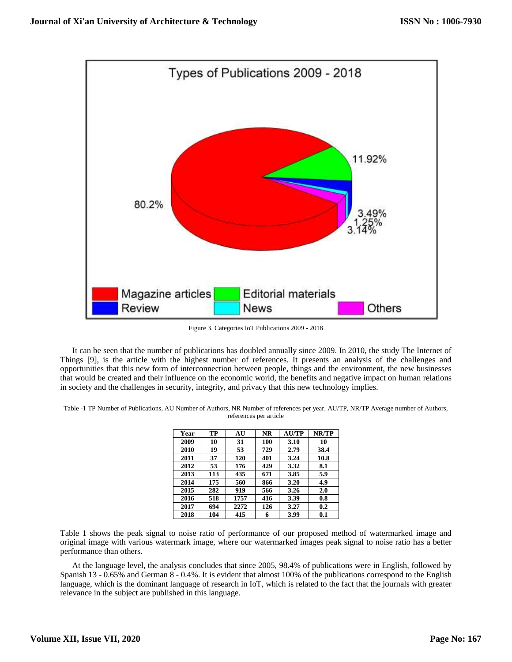

Figure 3. Categories IoT Publications 2009 - 2018

<span id="page-3-0"></span>It can be seen that the number of publications has doubled annually since 2009. In 2010, the study The Internet of Things [9], is the article with the highest number of references. It presents an analysis of the challenges and opportunities that this new form of interconnection between people, things and the environment, the new businesses that would be created and their influence on the economic world, the benefits and negative impact on human relations in society and the challenges in security, integrity, and privacy that this new technology implies.

| Table -1 TP Number of Publications, AU Number of Authors, NR Number of references per year, AU/TP, NR/TP Average number of Authors, |
|-------------------------------------------------------------------------------------------------------------------------------------|
| references per article                                                                                                              |

| Year | TP  | AU   | NR  | <b>AUTP</b> | NR/TP |
|------|-----|------|-----|-------------|-------|
| 2009 | 10  | 31   | 100 | 3.10        | 10    |
| 2010 | 19  | 53   | 729 | 2.79        | 38.4  |
| 2011 | 37  | 120  | 401 | 3.24        | 10.8  |
| 2012 | 53  | 176  | 429 | 3.32        | 8.1   |
| 2013 | 113 | 435  | 671 | 3.85        | 5.9   |
| 2014 | 175 | 560  | 866 | 3.20        | 4.9   |
| 2015 | 282 | 919  | 566 | 3.26        | 2.0   |
| 2016 | 518 | 1757 | 416 | 3.39        | 0.8   |
| 2017 | 694 | 2272 | 126 | 3.27        | 0.2   |
| 2018 | 104 | 415  | 6   | 3.99        | 0.1   |

Table 1 shows the peak signal to noise ratio of performance of our proposed method of watermarked image and original image with various watermark image, where our watermarked images peak signal to noise ratio has a better performance than others.

At the language level, the analysis concludes that since 2005, 98.4% of publications were in English, followed by Spanish 13 - 0.65% and German 8 - 0.4%. It is evident that almost 100% of the publications correspond to the English language, which is the dominant language of research in IoT, which is related to the fact that the journals with greater relevance in the subject are published in this language.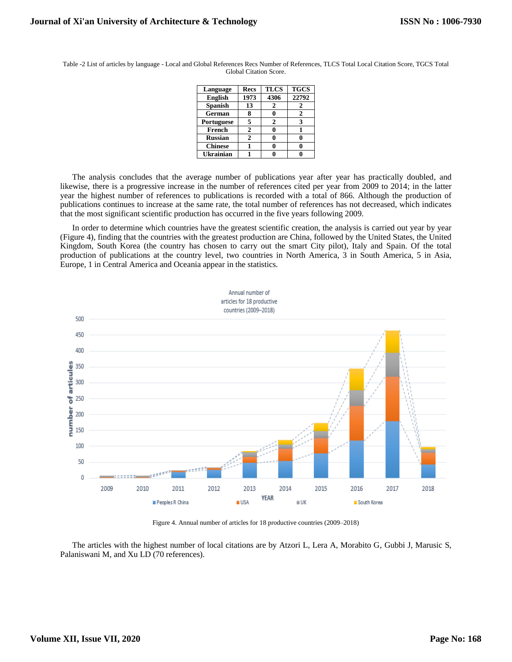| Language       | <b>Recs</b> | <b>TLCS</b>                 | <b>TGCS</b> |
|----------------|-------------|-----------------------------|-------------|
| <b>English</b> | 1973        | 4306                        | 22792       |
| <b>Spanish</b> | 13          | 2                           | 2           |
| German         | 8           |                             | 2           |
| Portuguese     | 5           | $\mathcal{D}_{\mathcal{L}}$ | 3           |
| French         | 2           |                             |             |
| <b>Russian</b> | 2           |                             |             |
| <b>Chinese</b> |             |                             |             |
| Ukrainian      |             |                             |             |

Table -2 List of articles by language - Local and Global References Recs Number of References, TLCS Total Local Citation Score, TGCS Total Global Citation Score.

The analysis concludes that the average number of publications year after year has practically doubled, and likewise, there is a progressive increase in the number of references cited per year from 2009 to 2014; in the latter year the highest number of references to publications is recorded with a total of 866. Although the production of publications continues to increase at the same rate, the total number of references has not decreased, which indicates that the most significant scientific production has occurred in the five years following 2009.

In order to determine which countries have the greatest scientific creation, the analysis is carried out year by year [\(Figure 4\)](#page-4-0), finding that the countries with the greatest production are China, followed by the United States, the United Kingdom, South Korea (the country has chosen to carry out the smart City pilot), Italy and Spain. Of the total production of publications at the country level, two countries in North America, 3 in South America, 5 in Asia, Europe, 1 in Central America and Oceania appear in the statistics.



Figure 4. Annual number of articles for 18 productive countries (2009–2018)

<span id="page-4-0"></span>The articles with the highest number of local citations are by Atzori L, Lera A, Morabito G, Gubbi J, Marusic S, Palaniswani M, and Xu LD (70 references).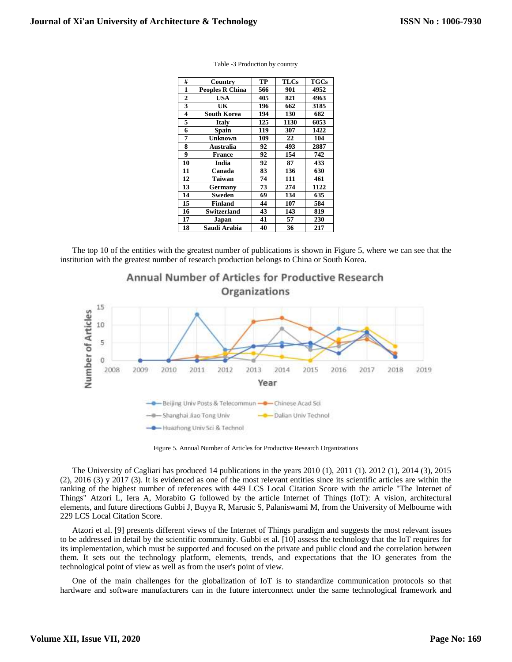| #                       | Country                | TP  | <b>TLCs</b> | <b>TGCs</b> |
|-------------------------|------------------------|-----|-------------|-------------|
| 1                       | <b>Peoples R China</b> | 566 | 901         | 4952        |
| 2                       | <b>USA</b>             | 405 | 821         | 4963        |
| 3                       | UK                     | 196 | 662         | 3185        |
| $\overline{\mathbf{4}}$ | <b>South Korea</b>     | 194 | 130         | 682         |
| 5                       | <b>Italy</b>           | 125 | 1130        | 6053        |
| 6                       | <b>Spain</b>           | 119 | 307         | 1422        |
| 7                       | <b>Unknown</b>         | 109 | 22          | 104         |
| 8                       | Australia              | 92  | 493         | 2887        |
| 9                       | <b>France</b>          | 92  | 154         | 742         |
| 10                      | India                  | 92  | 87          | 433         |
| 11                      | Canada                 | 83  | 136         | 630         |
| 12                      | Taiwan                 | 74  | 111         | 461         |
| 13                      | Germany                | 73  | 274         | 1122        |
| 14                      | Sweden                 | 69  | 134         | 635         |
| 15                      | Finland                | 44  | 107         | 584         |
| 16                      | Switzerland            | 43  | 143         | 819         |
| 17                      | Japan                  | 41  | 57          | 230         |
| 18                      | Saudi Arabia           | 40  | 36          | 217         |

|  | Table -3 Production by country |  |
|--|--------------------------------|--|
|--|--------------------------------|--|

The top 10 of the entities with the greatest number of publications is shown in [Figure 5,](#page-5-0) where we can see that the institution with the greatest number of research production belongs to China or South Korea.



Figure 5. Annual Number of Articles for Productive Research Organizations

<span id="page-5-0"></span>The University of Cagliari has produced 14 publications in the years 2010 (1), 2011 (1). 2012 (1), 2014 (3), 2015 (2), 2016 (3) y 2017 (3). It is evidenced as one of the most relevant entities since its scientific articles are within the ranking of the highest number of references with 449 LCS Local Citation Score with the article "The Internet of Things" Atzori L, Iera A, Morabito G followed by the article Internet of Things (IoT): A vision, architectural elements, and future directions Gubbi J, Buyya R, Marusic S, Palaniswami M, from the University of Melbourne with 229 LCS Local Citation Score.

Atzori et al. [9] presents different views of the Internet of Things paradigm and suggests the most relevant issues to be addressed in detail by the scientific community. Gubbi et al. [10] assess the technology that the IoT requires for its implementation, which must be supported and focused on the private and public cloud and the correlation between them. It sets out the technology platform, elements, trends, and expectations that the IO generates from the technological point of view as well as from the user's point of view.

One of the main challenges for the globalization of IoT is to standardize communication protocols so that hardware and software manufacturers can in the future interconnect under the same technological framework and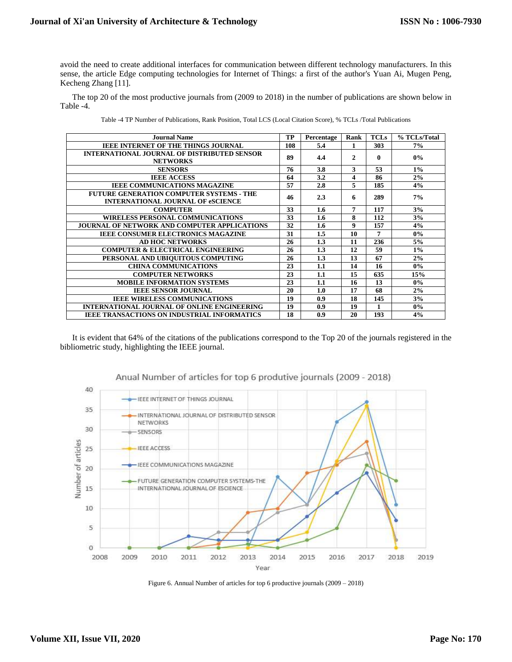avoid the need to create additional interfaces for communication between different technology manufacturers. In this sense, the article Edge computing technologies for Internet of Things: a first of the author's Yuan Ai, Mugen Peng, Kecheng Zhang [11].

The top 20 of the most productive journals from (2009 to 2018) in the number of publications are shown below in [Table -4.](#page-6-0)

<span id="page-6-0"></span>

| <b>Journal Name</b>                                                                         | TP  | Percentage | Rank                    | <b>TCLs</b> | % TCLs/Total |
|---------------------------------------------------------------------------------------------|-----|------------|-------------------------|-------------|--------------|
| <b>IEEE INTERNET OF THE THINGS JOURNAL</b>                                                  | 108 | 5.4        | 1                       | 303         | 7%           |
| <b>INTERNATIONAL JOURNAL OF DISTRIBUTED SENSOR</b><br><b>NETWORKS</b>                       | 89  | 4.4        | $\mathbf{2}$            | 0           | $0\%$        |
| <b>SENSORS</b>                                                                              | 76  | 3.8        | 3                       | 53          | $1\%$        |
| <b>IEEE ACCESS</b>                                                                          | 64  | 3.2        | $\overline{\mathbf{4}}$ | 86          | 2%           |
| <b>IEEE COMMUNICATIONS MAGAZINE</b>                                                         | 57  | 2.8        | 5                       | 185         | 4%           |
| <b>FUTURE GENERATION COMPUTER SYSTEMS - THE</b><br><b>INTERNATIONAL JOURNAL OF eSCIENCE</b> | 46  | 2.3        | 6                       | 289         | 7%           |
| <b>COMPUTER</b>                                                                             | 33  | 1.6        | 7                       | 117         | 3%           |
| <b>WIRELESS PERSONAL COMMUNICATIONS</b>                                                     | 33  | 1.6        | 8                       | 112         | 3%           |
| JOURNAL OF NETWORK AND COMPUTER APPLICATIONS                                                | 32  | 1.6        | 9                       | 157         | 4%           |
| <b>IEEE CONSUMER ELECTRONICS MAGAZINE</b>                                                   | 31  | 1.5        | 10                      | 7           | $0\%$        |
| <b>AD HOC NETWORKS</b>                                                                      | 26  | 1.3        | 11                      | 236         | 5%           |
| <b>COMPUTER &amp; ELECTRICAL ENGINEERING</b>                                                | 26  | 1.3        | 12                      | 59          | $1\%$        |
| PERSONAL AND UBIQUITOUS COMPUTING                                                           | 26  | 1.3        | 13                      | 67          | 2%           |
| <b>CHINA COMMUNICATIONS</b>                                                                 | 23  | 1.1        | 14                      | 16          | $0\%$        |
| <b>COMPUTER NETWORKS</b>                                                                    | 23  | 1.1        | 15                      | 635         | 15%          |
| <b>MOBILE INFORMATION SYSTEMS</b>                                                           | 23  | 1.1        | 16                      | 13          | $0\%$        |
| <b>IEEE SENSOR JOURNAL</b>                                                                  | 20  | 1.0        | 17                      | 68          | 2%           |
| <b>IEEE WIRELESS COMMUNICATIONS</b>                                                         | 19  | 0.9        | 18                      | 145         | 3%           |
| <b>INTERNATIONAL JOURNAL OF ONLINE ENGINEERING</b>                                          | 19  | 0.9        | 19                      |             | 0%           |
| <b>IEEE TRANSACTIONS ON INDUSTRIAL INFORMATICS</b>                                          | 18  | 0.9        | 20                      | 193         | 4%           |

| Table -4 TP Number of Publications, Rank Position, Total LCS (Local Citation Score), % TCLs /Total Publications |  |  |
|-----------------------------------------------------------------------------------------------------------------|--|--|
|                                                                                                                 |  |  |
|                                                                                                                 |  |  |

It is evident that 64% of the citations of the publications correspond to the Top 20 of the journals registered in the bibliometric study, highlighting the IEEE journal.



## Anual Number of articles for top 6 produtive journals (2009 - 2018)

Figure 6. Annual Number of articles for top 6 productive journals (2009 – 2018)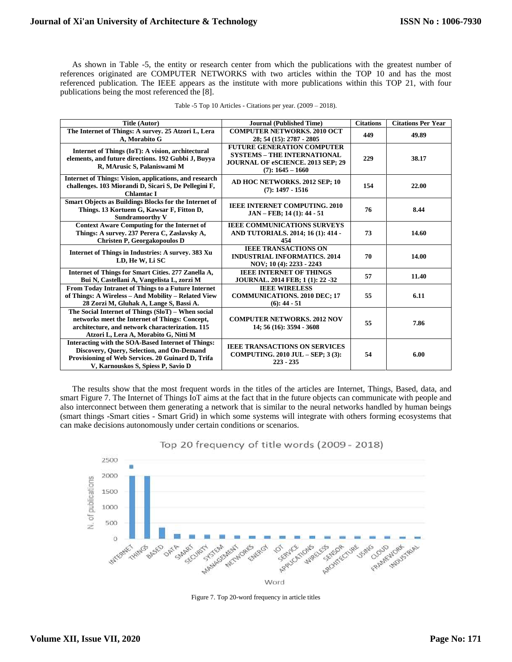As shown in [Table -5,](#page-7-0) the entity or research center from which the publications with the greatest number of references originated are COMPUTER NETWORKS with two articles within the TOP 10 and has the most referenced publication. The IEEE appears as the institute with more publications within this TOP 21, with four publications being the most referenced the [8].

<span id="page-7-0"></span>

| Title (Autor)                                                                                                                                                                                      | <b>Journal (Published Time)</b>                                                                                                    | <b>Citations</b> | <b>Citations Per Year</b> |
|----------------------------------------------------------------------------------------------------------------------------------------------------------------------------------------------------|------------------------------------------------------------------------------------------------------------------------------------|------------------|---------------------------|
| The Internet of Things: A survey. 25 Atzori L, Lera<br>A, Morabito G                                                                                                                               | <b>COMPUTER NETWORKS, 2010 OCT</b><br>28; 54 (15): 2787 - 2805                                                                     | 449              | 49.89                     |
| Internet of Things (IoT): A vision, architectural<br>elements, and future directions. 192 Gubbi J, Buyya<br>R, MArusic S, Palaniswami M                                                            | <b>FUTURE GENERATION COMPUTER</b><br><b>SYSTEMS - THE INTERNATIONAL</b><br>JOURNAL OF eSCIENCE. 2013 SEP; 29<br>$(7): 1645 - 1660$ | 229              | 38.17                     |
| Internet of Things: Vision, applications, and research<br>challenges. 103 Miorandi D, Sicari S, De Pellegini F,<br>Chlamtac I                                                                      | AD HOC NETWORKS, 2012 SEP; 10<br>$(7): 1497 - 1516$                                                                                | 154              | 22.00                     |
| <b>Smart Objects as Buildings Blocks for the Internet of</b><br>Things. 13 Kortuem G, Kawsar F, Fitton D,<br><b>Sundramoorthy V</b>                                                                | <b>IEEE INTERNET COMPUTING. 2010</b><br>$JAN - FEB$ ; 14 (1): 44 - 51                                                              | 76               | 8.44                      |
| <b>Context Aware Computing for the Internet of</b><br>Things: A survey. 237 Perera C, Zaslavsky A,<br>Christen P, Georgakopoulos D                                                                 | <b>IEEE COMMUNICATIONS SURVEYS</b><br>AND TUTORIALS. 2014; 16 (1): 414 -<br>454                                                    | 73               | 14.60                     |
| Internet of Things in Industries: A survey. 383 Xu<br>LD, He W, Li SC                                                                                                                              | <b>IEEE TRANSACTIONS ON</b><br><b>INDUSTRIAL INFORMATICS, 2014</b><br>NOV; 10 (4): 2233 - 2243                                     | 70               | 14.00                     |
| Internet of Things for Smart Cities. 277 Zanella A,<br>Bui N, Castellani A, Vangelista L, zorzi M                                                                                                  | <b>IEEE INTERNET OF THINGS</b><br>JOURNAL. 2014 FEB; 1 (1): 22 -32                                                                 | 57               | 11.40                     |
| From Today Intranet of Things to a Future Internet<br>of Things: A Wireless - And Mobility - Related View<br>28 Zorzi M, Gluhak A, Lange S, Bassi A.                                               | <b>IEEE WIRELESS</b><br><b>COMMUNICATIONS. 2010 DEC; 17</b><br>$(6): 44 - 51$                                                      | 55               | 6.11                      |
| The Social Internet of Things (SloT) - When social<br>networks meet the Internet of Things: Concept,<br>architecture, and network characterization. 115<br>Atzori L, Lera A, Morabito G, Nitti M   | <b>COMPUTER NETWORKS, 2012 NOV</b><br>14; 56 (16): 3594 - 3608                                                                     | 55               | 7.86                      |
| <b>Interacting with the SOA-Based Internet of Things:</b><br>Discovery, Ouery, Selection, and On-Demand<br>Provisioning of Web Services. 20 Guinard D, Trifa<br>V, Karnouskos S, Spiess P, Savio D | <b>IEEE TRANSACTIONS ON SERVICES</b><br><b>COMPUTING. 2010 JUL - SEP: 3 (3):</b><br>$223 - 235$                                    | 54               | 6.00                      |

|  |  | Table -5 Top 10 Articles - Citations per year. $(2009 - 2018)$ . |  |
|--|--|------------------------------------------------------------------|--|
|--|--|------------------------------------------------------------------|--|

The results show that the most frequent words in the titles of the articles are Internet, Things, Based, data, and smart [Figure 7.](#page-7-1) The Internet of Things IoT aims at the fact that in the future objects can communicate with people and also interconnect between them generating a network that is similar to the neural networks handled by human beings (smart things -Smart cities - Smart Grid) in which some systems will integrate with others forming ecosystems that can make decisions autonomously under certain conditions or scenarios.



Top 20 frequency of title words (2009 - 2018)

<span id="page-7-1"></span>Figure 7. Top 20-word frequency in article titles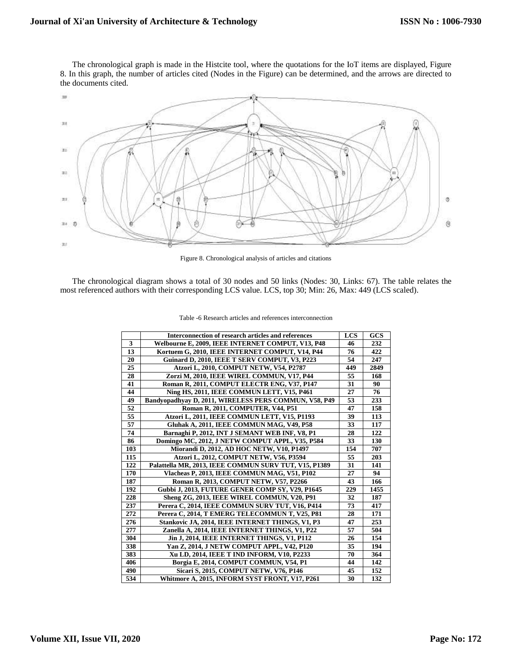The chronological graph is made in the Histcite tool, where the quotations for the IoT items are displayed, [Figure](#page-8-0)  [8.](#page-8-0) In this graph, the number of articles cited (Nodes in the Figure) can be determined, and the arrows are directed to the documents cited.



Figure 8. Chronological analysis of articles and citations

<span id="page-8-0"></span>The chronological diagram shows a total of 30 nodes and 50 links (Nodes: 30, Links: 67). The table relates the most referenced authors with their corresponding LCS value. LCS, top 30; Min: 26, Max: 449 (LCS scaled).

|     | Interconnection of research articles and references   | <b>LCS</b> | GCS  |
|-----|-------------------------------------------------------|------------|------|
| 3   | Welbourne E, 2009, IEEE INTERNET COMPUT, V13, P48     | 46         | 232  |
| 13  | Kortuem G, 2010, IEEE INTERNET COMPUT, V14, P44       | 76         | 422  |
| 20  | Guinard D, 2010, IEEE T SERV COMPUT, V3, P223         | 54         | 247  |
| 25  | Atzori L, 2010, COMPUT NETW, V54, P2787               | 449        | 2849 |
| 28  | Zorzi M, 2010, IEEE WIREL COMMUN, V17, P44            | 55         | 168  |
| 41  | Roman R, 2011, COMPUT ELECTR ENG, V37, P147           | 31         | 90   |
| 44  | Ning HS, 2011, IEEE COMMUN LETT, V15, P461            | 27         | 76   |
| 49  | Bandyopadhyay D, 2011, WIRELESS PERS COMMUN, V58, P49 | 53         | 233  |
| 52  | Roman R, 2011, COMPUTER, V44, P51                     | 47         | 158  |
| 55  | Atzori L, 2011, IEEE COMMUN LETT, V15, P1193          | 39         | 113  |
| 57  | Gluhak A, 2011, IEEE COMMUN MAG, V49, P58             | 33         | 117  |
| 74  | Barnaghi P, 2012, INT J SEMANT WEB INF, V8, P1        | 28         | 122  |
| 86  | Domingo MC, 2012, J NETW COMPUT APPL, V35, P584       | 33         | 130  |
| 103 | Miorandi D, 2012, AD HOC NETW, V10, P1497             | 154        | 707  |
| 115 | Atzori L, 2012, COMPUT NETW, V56, P3594               | 55         | 203  |
| 122 | Palattella MR, 2013, IEEE COMMUN SURV TUT, V15, P1389 | 31         | 141  |
| 170 | Vlacheas P, 2013, IEEE COMMUN MAG, V51, P102          | 27         | 94   |
| 187 | Roman R, 2013, COMPUT NETW, V57, P2266                | 43         | 166  |
| 192 | Gubbi J, 2013, FUTURE GENER COMP SY, V29, P1645       | 229        | 1455 |
| 228 | Sheng ZG, 2013, IEEE WIREL COMMUN, V20, P91           | 32         | 187  |
| 237 | Perera C, 2014, IEEE COMMUN SURV TUT, V16, P414       | 73         | 417  |
| 272 | Perera C, 2014, T EMERG TELECOMMUN T, V25, P81        | 28         | 171  |
| 276 | Stankovic JA, 2014, IEEE INTERNET THINGS, V1, P3      | 47         | 253  |
| 277 | Zanella A, 2014, IEEE INTERNET THINGS, V1, P22        | 57         | 504  |
| 304 | <b>Jin J, 2014, IEEE INTERNET THINGS, V1, P112</b>    | 26         | 154  |
| 338 | Yan Z, 2014, J NETW COMPUT APPL, V42, P120            | 35         | 194  |
| 383 | Xu LD, 2014, IEEE T IND INFORM, V10, P2233            | 70         | 364  |
| 406 | Borgia E, 2014, COMPUT COMMUN, V54, P1                | 44         | 142  |
| 490 | Sicari S, 2015, COMPUT NETW, V76, P146                | 45         | 152  |
| 534 | Whitmore A, 2015, INFORM SYST FRONT, V17, P261        | 30         | 132  |

Table -6 Research articles and references interconnection